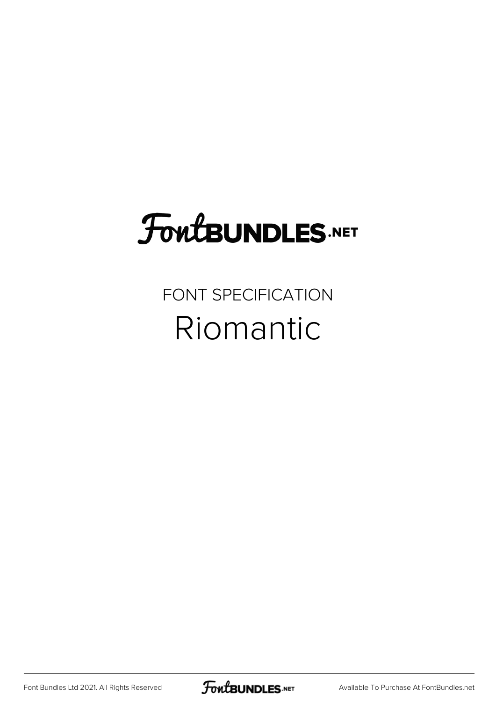## **FoutBUNDLES.NET**

FONT SPECIFICATION Riomantic

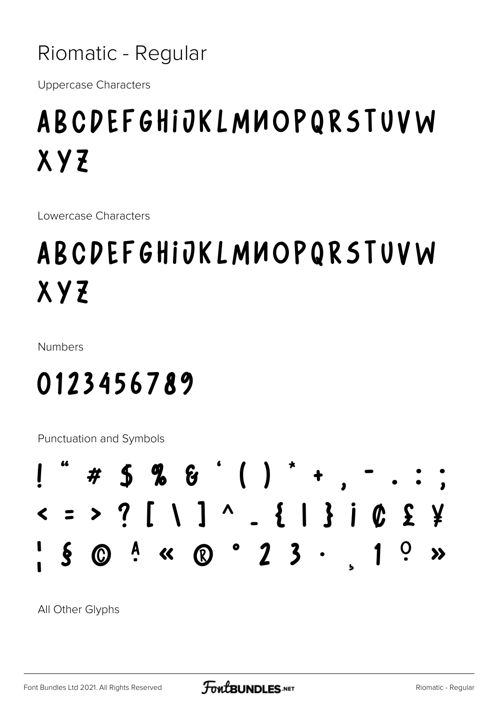Riomatic - Regular

**Uppercase Characters** 

## ABCDEFGHIJKLMUOPQRSTUVW **XYZ**

Lowercase Characters

## ABCDEFGHIJKLMUOPQRSTUVW XYZ

**Numbers** 

## 0123456789

Punctuation and Symbols



All Other Glyphs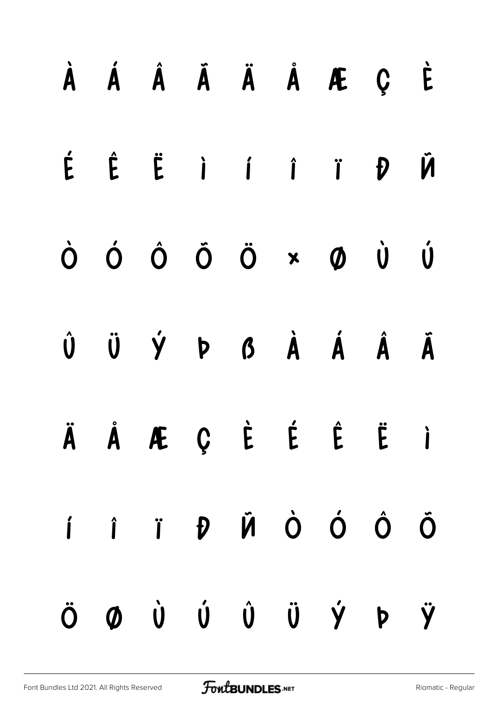|  |  |  | À Á Â Ã Ä Å Æ Ç È                                                                                                                                                                                                                 |  |
|--|--|--|-----------------------------------------------------------------------------------------------------------------------------------------------------------------------------------------------------------------------------------|--|
|  |  |  | É Ê Ë I I Î I D VI                                                                                                                                                                                                                |  |
|  |  |  | $\dot{\mathsf{O}} \quad \dot{\mathsf{O}} \quad \dot{\mathsf{O}} \quad \dot{\mathsf{O}} \quad \dot{\mathsf{O}} \quad \dot{\mathsf{O}} \quad \dot{\mathsf{O}} \quad \dot{\mathsf{O}} \quad \dot{\mathsf{O}} \quad \dot{\mathsf{O}}$ |  |
|  |  |  | $\begin{matrix} \hat{\mathsf{U}} & \hat{\mathsf{U}} & \hat{\mathsf{V}} & \mathsf{P} & \mathsf{B} & \hat{\mathsf{A}} & \hat{\mathsf{A}} & \hat{\mathsf{A}} & \hat{\mathsf{A}} & \hat{\mathsf{A}} \end{matrix}$                     |  |
|  |  |  | ÄÅÆÇÈÉĖËI                                                                                                                                                                                                                         |  |
|  |  |  | I Î Î D V D O O O                                                                                                                                                                                                                 |  |
|  |  |  | ÖØÙÚÛÜÝÞŸ                                                                                                                                                                                                                         |  |